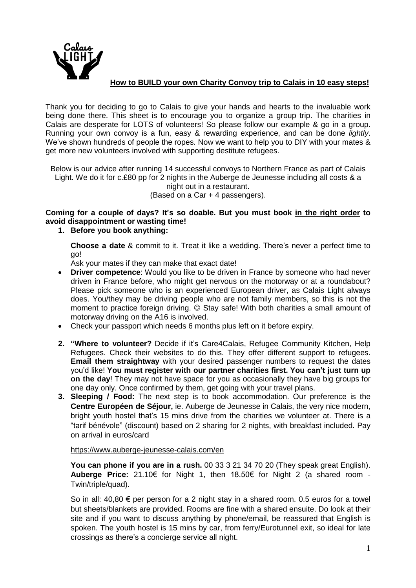

## **How to BUILD your own Charity Convoy trip to Calais in 10 easy steps!**

Thank you for deciding to go to Calais to give your hands and hearts to the invaluable work being done there. This sheet is to encourage you to organize a group trip. The charities in Calais are desperate for LOTS of volunteers! So please follow our example & go in a group. Running your own convoy is a fun, easy & rewarding experience, and can be done *lightly*. We've shown hundreds of people the ropes. Now we want to help you to DIY with your mates & get more new volunteers involved with supporting destitute refugees.

Below is our advice after running 14 successful convoys to Northern France as part of Calais Light. We do it for c.£80 pp for 2 nights in the Auberge de Jeunesse including all costs & a night out in a restaurant.

(Based on a Car + 4 passengers).

**Coming for a couple of days? It's so doable. But you must book in the right order to avoid disappointment or wasting time!**

## **1. Before you book anything:**

**Choose a date** & commit to it. Treat it like a wedding. There's never a perfect time to go!

Ask your mates if they can make that exact date!

- **Driver competence**: Would you like to be driven in France by someone who had never driven in France before, who might get nervous on the motorway or at a roundabout? Please pick someone who is an experienced European driver, as Calais Light always does. You/they may be driving people who are not family members, so this is not the moment to practice foreign driving.  $\odot$  Stay safe! With both charities a small amount of motorway driving on the A16 is involved.
- Check your passport which needs 6 months plus left on it before expiry.
- **2. "Where to volunteer?** Decide if it's Care4Calais, Refugee Community Kitchen, Help Refugees. Check their websites to do this. They offer different support to refugees. **Email them straightway** with your desired passenger numbers to request the dates you'd like! **You must register with our partner charities first. You can't just turn up on the day**! They may not have space for you as occasionally they have big groups for one **d**ay only. Once confirmed by them, get going with your travel plans.
- **3. Sleeping / Food:** The next step is to book accommodation. Our preference is the **Centre Européen de Séjour,** ie. Auberge de Jeunesse in Calais, the very nice modern, bright youth hostel that's 15 mins drive from the charities we volunteer at. There is a "tarif bénévole" (discount) based on 2 sharing for 2 nights, with breakfast included. Pay on arrival in euros/card

## <https://www.auberge-jeunesse-calais.com/en>

**You can phone if you are in a rush.** 00 33 3 21 34 70 20 (They speak great English). **Auberge Price:** 21.10€ for Night 1, then 18.50€ for Night 2 (a shared room - Twin/triple/quad).

So in all:  $40,80 \in$  per person for a 2 night stay in a shared room. 0.5 euros for a towel but sheets/blankets are provided. Rooms are fine with a shared ensuite. Do look at their site and if you want to discuss anything by phone/email, be reassured that English is spoken. The youth hostel is 15 mins by car, from ferry/Eurotunnel exit, so ideal for late crossings as there's a concierge service all night.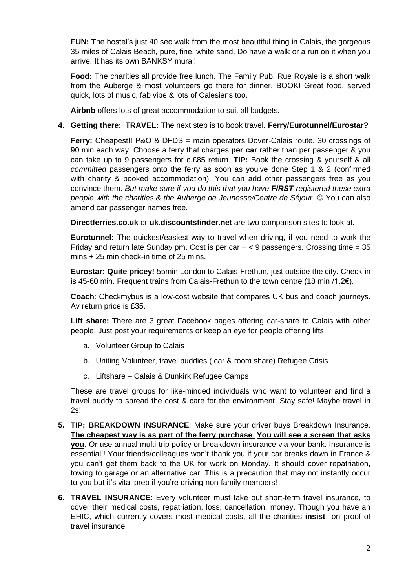**FUN:** The hostel's just 40 sec walk from the most beautiful thing in Calais, the gorgeous 35 miles of Calais Beach, pure, fine, white sand. Do have a walk or a run on it when you arrive. It has its own BANKSY mural!

**Food:** The charities all provide free lunch. The Family Pub, Rue Royale is a short walk from the Auberge & most volunteers go there for dinner. BOOK! Great food, served quick, lots of music, fab vibe & lots of Calesiens too.

**Airbnb** offers lots of great accommodation to suit all budgets.

## **4. Getting there: TRAVEL:** The next step is to book travel. **Ferry/Eurotunnel/Eurostar?**

**Ferry:** Cheapest!! P&O & DFDS = main operators Dover-Calais route. 30 crossings of 90 min each way. Choose a ferry that charges **per car** rather than per passenger & you can take up to 9 passengers for c.£85 return. **TIP:** Book the crossing & yourself & all *committed* passengers onto the ferry as soon as you've done Step 1 & 2 (confirmed with charity & booked accommodation). You can add other passengers free as you convince them. *But make sure if you do this that you have FIRST registered these extra people with the charities & the Auberge de Jeunesse/Centre de Séjour* You can also amend car passenger names free.

**Directferries.co.uk** or **uk.discountsfinder.net** are two comparison sites to look at.

**Eurotunnel:** The quickest/easiest way to travel when driving, if you need to work the Friday and return late Sunday pm. Cost is per car  $+$  < 9 passengers. Crossing time = 35 mins + 25 min check-in time of 25 mins.

**Eurostar: Quite pricey!** 55min London to Calais-Frethun, just outside the city. Check-in is 45-60 min. Frequent trains from Calais-Frethun to the town centre (18 min /1.2€).

**Coach**: Checkmybus is a low-cost website that compares UK bus and coach journeys. Av return price is £35.

**Lift share:** There are 3 great Facebook pages offering car-share to Calais with other people. Just post your requirements or keep an eye for people offering lifts:

- a. Volunteer Group to Calais
- b. Uniting Volunteer, travel buddies ( car & room share) Refugee Crisis
- c. Liftshare Calais & Dunkirk Refugee Camps

These are travel groups for like-minded individuals who want to volunteer and find a travel buddy to spread the cost & care for the environment. Stay safe! Maybe travel in 2s!

- **5. TIP: BREAKDOWN INSURANCE**: Make sure your driver buys Breakdown Insurance. **The cheapest way is as part of the ferry purchase**. **You will see a screen that asks you**. Or use annual multi-trip policy or breakdown insurance via your bank. Insurance is essential!! Your friends/colleagues won't thank you if your car breaks down in France & you can't get them back to the UK for work on Monday. It should cover repatriation, towing to garage or an alternative car. This is a precaution that may not instantly occur to you but it's vital prep if you're driving non-family members!
- **6. TRAVEL INSURANCE**: Every volunteer must take out short-term travel insurance, to cover their medical costs, repatriation, loss, cancellation, money. Though you have an EHIC, which currently covers most medical costs, all the charities **insist** on proof of travel insurance